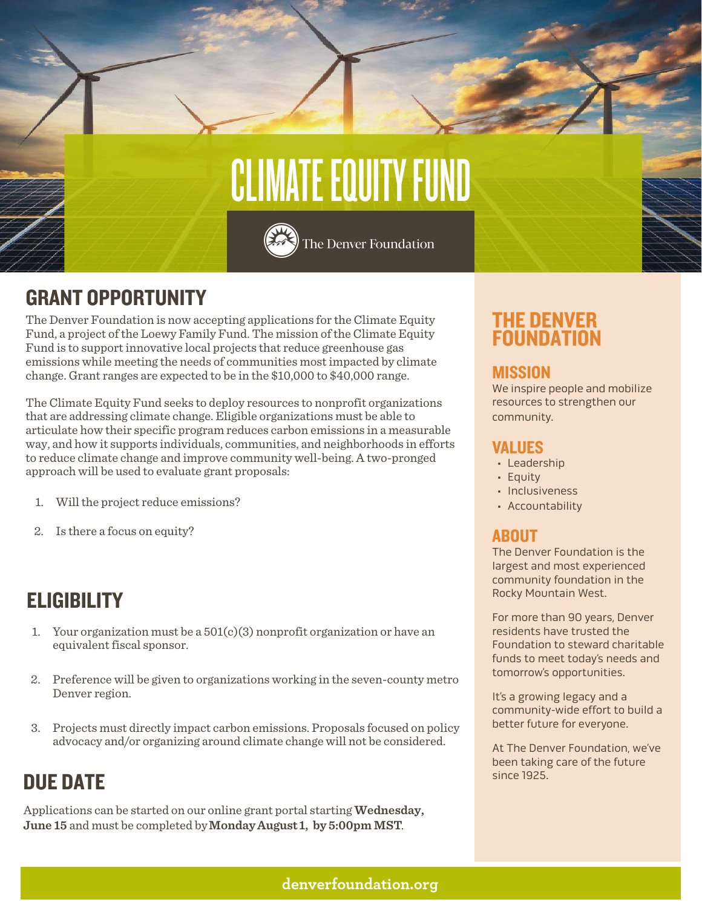

## GRANT OPPORTUNITY

The Denver Foundation is now accepting applications for the Climate Equity Fund, a project of the Loewy Family Fund. The mission of the Climate Equity Fund is to support innovative local projects that reduce greenhouse gas emissions while meeting the needs of communities most impacted by climate change. Grant ranges are expected to be in the \$10,000 to \$40,000 range.

The Climate Equity Fund seeks to deploy resources to nonprofit organizations that are addressing climate change. Eligible organizations must be able to articulate how their specific program reduces carbon emissions in a measurable way, and how it supports individuals, communities, and neighborhoods in efforts to reduce climate change and improve community well-being. A two-pronged approach will be used to evaluate grant proposals:

- 1. Will the project reduce emissions?
- 2. Is there a focus on equity?

## **ELIGIBILITY**

- 1. Your organization must be a  $501(c)(3)$  nonprofit organization or have an equivalent fiscal sponsor.
- 2. Preference will be given to organizations working in the seven-county metro Denver region.
- 3. Projects must directly impact carbon emissions. Proposals focused on policy advocacy and/or organizing around climate change will not be considered.

## **DUE DATE Since 1925.**

Applications can be started on our online grant portal starting **Wednesday, June 15** and must be completed by**Monday August 1, by 5:00pm MST**.

### THE DENVER FOUNDATION

#### **MISSION**

We inspire people and mobilize resources to strengthen our community.

#### VALUES

- Leadership
- Equity
- Inclusiveness
- Accountability

#### ABOUT

The Denver Foundation is the largest and most experienced community foundation in the Rocky Mountain West.

For more than 90 years, Denver residents have trusted the Foundation to steward charitable funds to meet today's needs and tomorrow's opportunities.

It's a growing legacy and a community-wide effort to build a better future for everyone.

At The Denver Foundation, we've been taking care of the future